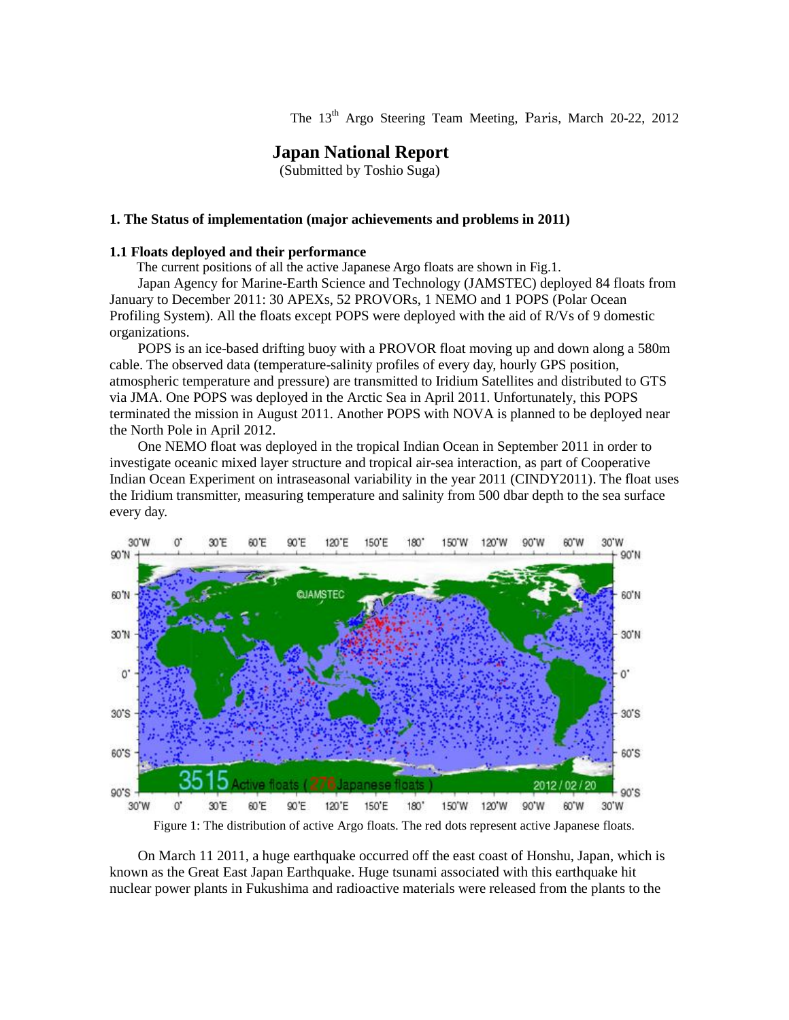The 13<sup>th</sup> Argo Steering Team Meeting, Paris, March 20-22, 2012

# **Japan National Report**

(Submitted by Toshio Suga)

### **1. The Status of implementation (major achievements and problems in 2011)**

### **1.1 Floats deployed and their performance**

The current positions of all the active Japanese Argo floats are shown in Fig.1.

Japan Agency for Marine-Earth Science and Technology (JAMSTEC) deployed 84 floats from January to December 2011: 30 APEXs, 52 PROVORs, 1 NEMO and 1 POPS (Polar Ocean Profiling System). All the floats except POPS were deployed with the aid of R/Vs of 9 domestic organizations.

POPS is an ice-based drifting buoy with a PROVOR float moving up and down along a 580m cable. The observed data (temperature-salinity profiles of every day, hourly GPS position, atmospheric temperature and pressure) are transmitted to Iridium Satellites and distributed to GTS via JMA. One POPS was deployed in the Arctic Sea in April 2011. Unfortunately, this POPS terminated the mission in August 2011. Another POPS with NOVA is planned to be deployed near the North Pole in April 2012.

One NEMO float was deployed in the tropical Indian Ocean in September 2011 in order to investigate oceanic mixed layer structure and tropical air-sea interaction, as part of Cooperative Indian Ocean Experiment on intraseasonal variability in the year 2011 (CINDY2011). The float uses the Iridium transmitter, measuring temperature and salinity from 500 dbar depth to the sea surface every day.



Figure 1: The distribution of active Argo floats. The red dots represent active Japanese floats.

On March 11 2011, a huge earthquake occurred off the east coast of Honshu, Japan, which is known as the Great East Japan Earthquake. Huge tsunami associated with this earthquake hit nuclear power plants in Fukushima and radioactive materials were released from the plants to the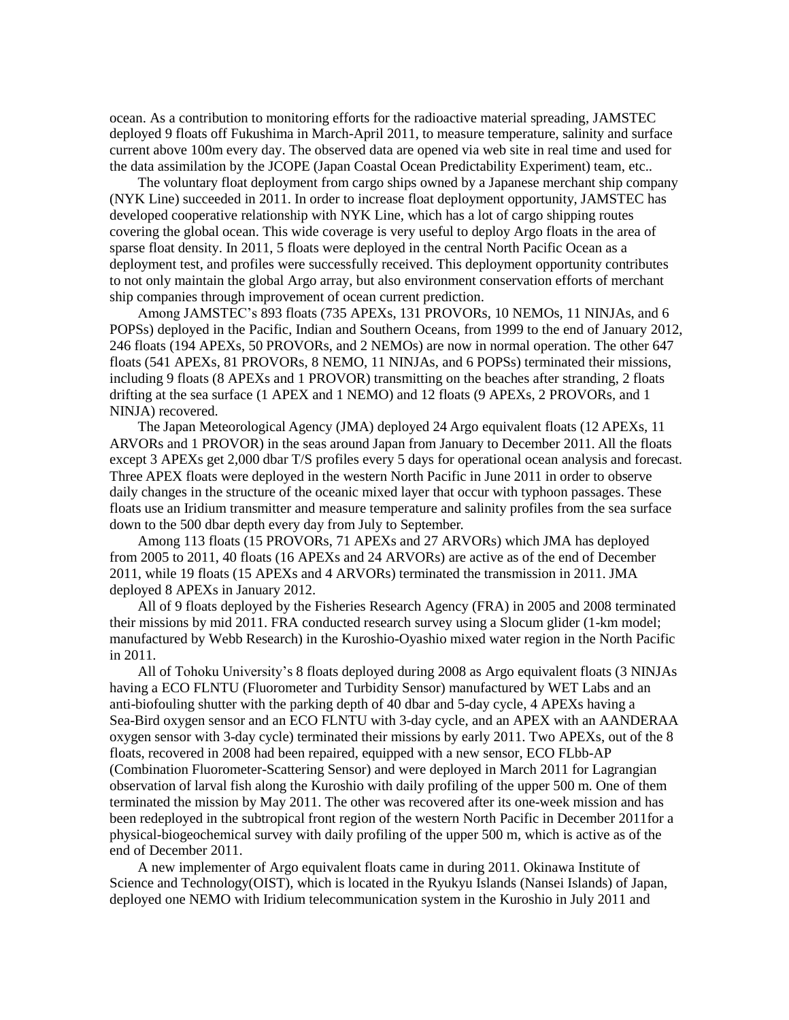ocean. As a contribution to monitoring efforts for the radioactive material spreading, JAMSTEC deployed 9 floats off Fukushima in March-April 2011, to measure temperature, salinity and surface current above 100m every day. The observed data are opened via web site in real time and used for the data assimilation by the JCOPE (Japan Coastal Ocean Predictability Experiment) team, etc..

The voluntary float deployment from cargo ships owned by a Japanese merchant ship company (NYK Line) succeeded in 2011. In order to increase float deployment opportunity, JAMSTEC has developed cooperative relationship with NYK Line, which has a lot of cargo shipping routes covering the global ocean. This wide coverage is very useful to deploy Argo floats in the area of sparse float density. In 2011, 5 floats were deployed in the central North Pacific Ocean as a deployment test, and profiles were successfully received. This deployment opportunity contributes to not only maintain the global Argo array, but also environment conservation efforts of merchant ship companies through improvement of ocean current prediction.

Among JAMSTEC's 893 floats (735 APEXs, 131 PROVORs, 10 NEMOs, 11 NINJAs, and 6 POPSs) deployed in the Pacific, Indian and Southern Oceans, from 1999 to the end of January 2012, 246 floats (194 APEXs, 50 PROVORs, and 2 NEMOs) are now in normal operation. The other 647 floats (541 APEXs, 81 PROVORs, 8 NEMO, 11 NINJAs, and 6 POPSs) terminated their missions, including 9 floats (8 APEXs and 1 PROVOR) transmitting on the beaches after stranding, 2 floats drifting at the sea surface (1 APEX and 1 NEMO) and 12 floats (9 APEXs, 2 PROVORs, and 1 NINJA) recovered.

The Japan Meteorological Agency (JMA) deployed 24 Argo equivalent floats (12 APEXs, 11 ARVORs and 1 PROVOR) in the seas around Japan from January to December 2011. All the floats except 3 APEXs get 2,000 dbar T/S profiles every 5 days for operational ocean analysis and forecast. Three APEX floats were deployed in the western North Pacific in June 2011 in order to observe daily changes in the structure of the oceanic mixed layer that occur with typhoon passages. These floats use an Iridium transmitter and measure temperature and salinity profiles from the sea surface down to the 500 dbar depth every day from July to September.

Among 113 floats (15 PROVORs, 71 APEXs and 27 ARVORs) which JMA has deployed from 2005 to 2011, 40 floats (16 APEXs and 24 ARVORs) are active as of the end of December 2011, while 19 floats (15 APEXs and 4 ARVORs) terminated the transmission in 2011. JMA deployed 8 APEXs in January 2012.

All of 9 floats deployed by the Fisheries Research Agency (FRA) in 2005 and 2008 terminated their missions by mid 2011. FRA conducted research survey using a Slocum glider (1-km model; manufactured by Webb Research) in the Kuroshio-Oyashio mixed water region in the North Pacific in 2011.

All of Tohoku University's 8 floats deployed during 2008 as Argo equivalent floats (3 NINJAs having a ECO FLNTU (Fluorometer and Turbidity Sensor) manufactured by WET Labs and an anti-biofouling shutter with the parking depth of 40 dbar and 5-day cycle, 4 APEXs having a Sea-Bird oxygen sensor and an ECO FLNTU with 3-day cycle, and an APEX with an AANDERAA oxygen sensor with 3-day cycle) terminated their missions by early 2011. Two APEXs, out of the 8 floats, recovered in 2008 had been repaired, equipped with a new sensor, ECO FLbb-AP (Combination Fluorometer-Scattering Sensor) and were deployed in March 2011 for Lagrangian observation of larval fish along the Kuroshio with daily profiling of the upper 500 m. One of them terminated the mission by May 2011. The other was recovered after its one-week mission and has been redeployed in the subtropical front region of the western North Pacific in December 2011for a physical-biogeochemical survey with daily profiling of the upper 500 m, which is active as of the end of December 2011.

A new implementer of Argo equivalent floats came in during 2011. Okinawa Institute of Science and Technology(OIST), which is located in the Ryukyu Islands (Nansei Islands) of Japan, deployed one NEMO with Iridium telecommunication system in the Kuroshio in July 2011 and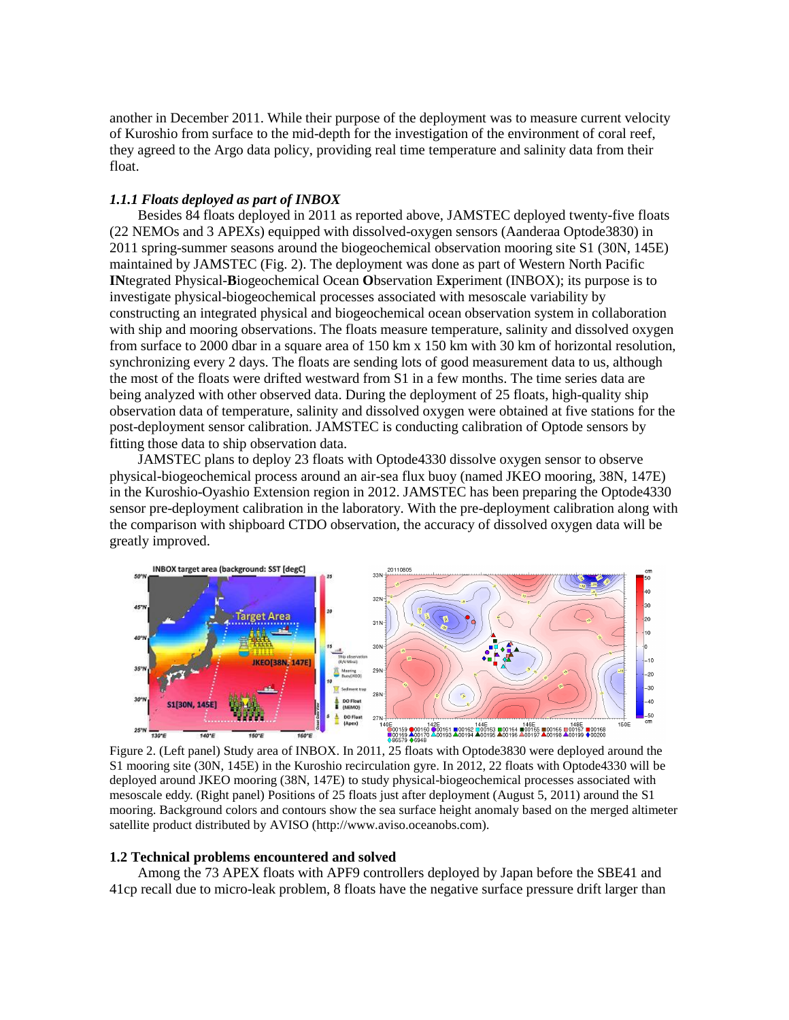another in December 2011. While their purpose of the deployment was to measure current velocity of Kuroshio from surface to the mid-depth for the investigation of the environment of coral reef, they agreed to the Argo data policy, providing real time temperature and salinity data from their float.

## *1.1.1 Floats deployed as part of INBOX*

Besides 84 floats deployed in 2011 as reported above, JAMSTEC deployed twenty-five floats (22 NEMOs and 3 APEXs) equipped with dissolved-oxygen sensors (Aanderaa Optode3830) in 2011 spring-summer seasons around the biogeochemical observation mooring site S1 (30N, 145E) maintained by JAMSTEC (Fig. 2). The deployment was done as part of Western North Pacific **IN**tegrated Physical-**B**iogeochemical Ocean **O**bservation E**x**periment (INBOX); its purpose is to investigate physical-biogeochemical processes associated with mesoscale variability by constructing an integrated physical and biogeochemical ocean observation system in collaboration with ship and mooring observations. The floats measure temperature, salinity and dissolved oxygen from surface to 2000 dbar in a square area of 150 km x 150 km with 30 km of horizontal resolution, synchronizing every 2 days. The floats are sending lots of good measurement data to us, although the most of the floats were drifted westward from S1 in a few months. The time series data are being analyzed with other observed data. During the deployment of 25 floats, high-quality ship observation data of temperature, salinity and dissolved oxygen were obtained at five stations for the post-deployment sensor calibration. JAMSTEC is conducting calibration of Optode sensors by fitting those data to ship observation data.

JAMSTEC plans to deploy 23 floats with Optode4330 dissolve oxygen sensor to observe physical-biogeochemical process around an air-sea flux buoy (named JKEO mooring, 38N, 147E) in the Kuroshio-Oyashio Extension region in 2012. JAMSTEC has been preparing the Optode4330 sensor pre-deployment calibration in the laboratory. With the pre-deployment calibration along with the comparison with shipboard CTDO observation, the accuracy of dissolved oxygen data will be greatly improved.



Figure 2. (Left panel) Study area of INBOX. In 2011, 25 floats with Optode3830 were deployed around the S1 mooring site (30N, 145E) in the Kuroshio recirculation gyre. In 2012, 22 floats with Optode4330 will be deployed around JKEO mooring (38N, 147E) to study physical-biogeochemical processes associated with mesoscale eddy. (Right panel) Positions of 25 floats just after deployment (August 5, 2011) around the S1 mooring. Background colors and contours show the sea surface height anomaly based on the merged altimeter satellite product distributed by AVISO (http://www.aviso.oceanobs.com).

#### **1.2 Technical problems encountered and solved**

Among the 73 APEX floats with APF9 controllers deployed by Japan before the SBE41 and 41cp recall due to micro-leak problem, 8 floats have the negative surface pressure drift larger than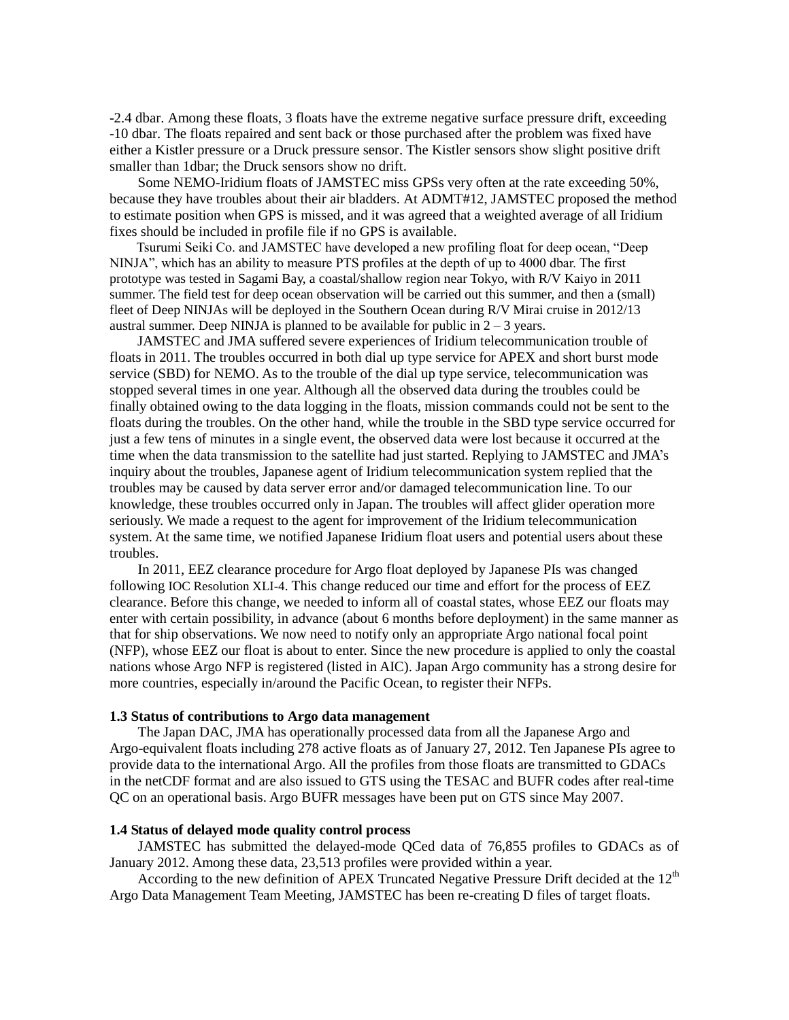-2.4 dbar. Among these floats, 3 floats have the extreme negative surface pressure drift, exceeding -10 dbar. The floats repaired and sent back or those purchased after the problem was fixed have either a Kistler pressure or a Druck pressure sensor. The Kistler sensors show slight positive drift smaller than 1dbar; the Druck sensors show no drift.

Some NEMO-Iridium floats of JAMSTEC miss GPSs very often at the rate exceeding 50%, because they have troubles about their air bladders. At ADMT#12, JAMSTEC proposed the method to estimate position when GPS is missed, and it was agreed that a weighted average of all Iridium fixes should be included in profile file if no GPS is available.

Tsurumi Seiki Co. and JAMSTEC have developed a new profiling float for deep ocean, "Deep NINJA", which has an ability to measure PTS profiles at the depth of up to 4000 dbar. The first prototype was tested in Sagami Bay, a coastal/shallow region near Tokyo, with R/V Kaiyo in 2011 summer. The field test for deep ocean observation will be carried out this summer, and then a (small) fleet of Deep NINJAs will be deployed in the Southern Ocean during R/V Mirai cruise in 2012/13 austral summer. Deep NINJA is planned to be available for public in  $2 - 3$  years.

JAMSTEC and JMA suffered severe experiences of Iridium telecommunication trouble of floats in 2011. The troubles occurred in both dial up type service for APEX and short burst mode service (SBD) for NEMO. As to the trouble of the dial up type service, telecommunication was stopped several times in one year. Although all the observed data during the troubles could be finally obtained owing to the data logging in the floats, mission commands could not be sent to the floats during the troubles. On the other hand, while the trouble in the SBD type service occurred for just a few tens of minutes in a single event, the observed data were lost because it occurred at the time when the data transmission to the satellite had just started. Replying to JAMSTEC and JMA's inquiry about the troubles, Japanese agent of Iridium telecommunication system replied that the troubles may be caused by data server error and/or damaged telecommunication line. To our knowledge, these troubles occurred only in Japan. The troubles will affect glider operation more seriously. We made a request to the agent for improvement of the Iridium telecommunication system. At the same time, we notified Japanese Iridium float users and potential users about these troubles.

In 2011, EEZ clearance procedure for Argo float deployed by Japanese PIs was changed following IOC Resolution XLI-4. This change reduced our time and effort for the process of EEZ clearance. Before this change, we needed to inform all of coastal states, whose EEZ our floats may enter with certain possibility, in advance (about 6 months before deployment) in the same manner as that for ship observations. We now need to notify only an appropriate Argo national focal point (NFP), whose EEZ our float is about to enter. Since the new procedure is applied to only the coastal nations whose Argo NFP is registered (listed in AIC). Japan Argo community has a strong desire for more countries, especially in/around the Pacific Ocean, to register their NFPs.

### **1.3 Status of contributions to Argo data management**

The Japan DAC, JMA has operationally processed data from all the Japanese Argo and Argo-equivalent floats including 278 active floats as of January 27, 2012. Ten Japanese PIs agree to provide data to the international Argo. All the profiles from those floats are transmitted to GDACs in the netCDF format and are also issued to GTS using the TESAC and BUFR codes after real-time QC on an operational basis. Argo BUFR messages have been put on GTS since May 2007.

### **1.4 Status of delayed mode quality control process**

JAMSTEC has submitted the delayed-mode QCed data of 76,855 profiles to GDACs as of January 2012. Among these data, 23,513 profiles were provided within a year.

According to the new definition of APEX Truncated Negative Pressure Drift decided at the  $12<sup>th</sup>$ Argo Data Management Team Meeting, JAMSTEC has been re-creating D files of target floats.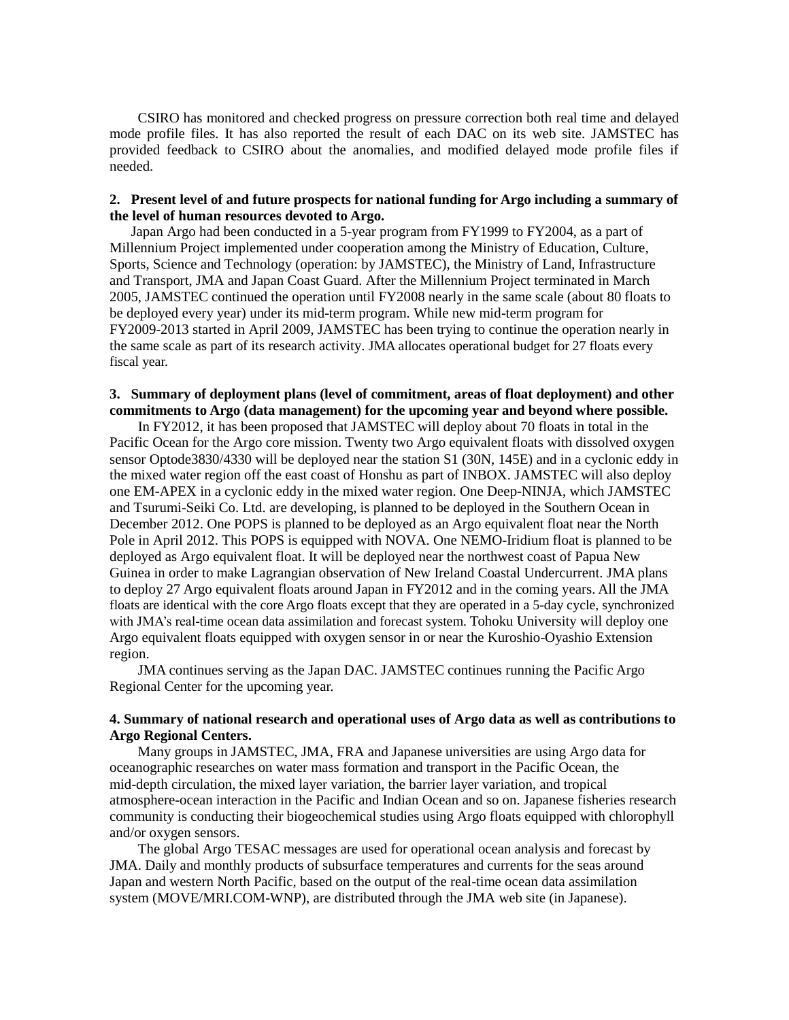CSIRO has monitored and checked progress on pressure correction both real time and delayed mode profile files. It has also reported the result of each DAC on its web site. JAMSTEC has provided feedback to CSIRO about the anomalies, and modified delayed mode profile files if needed.

## **2. Present level of and future prospects for national funding for Argo including a summary of the level of human resources devoted to Argo.**

Japan Argo had been conducted in a 5-year program from FY1999 to FY2004, as a part of Millennium Project implemented under cooperation among the Ministry of Education, Culture, Sports, Science and Technology (operation: by JAMSTEC), the Ministry of Land, Infrastructure and Transport, JMA and Japan Coast Guard. After the Millennium Project terminated in March 2005, JAMSTEC continued the operation until FY2008 nearly in the same scale (about 80 floats to be deployed every year) under its mid-term program. While new mid-term program for FY2009-2013 started in April 2009, JAMSTEC has been trying to continue the operation nearly in the same scale as part of its research activity. JMA allocates operational budget for 27 floats every fiscal year.

# **3. Summary of deployment plans (level of commitment, areas of float deployment) and other commitments to Argo (data management) for the upcoming year and beyond where possible.**

 In FY2012, it has been proposed that JAMSTEC will deploy about 70 floats in total in the Pacific Ocean for the Argo core mission. Twenty two Argo equivalent floats with dissolved oxygen sensor Optode3830/4330 will be deployed near the station S1 (30N, 145E) and in a cyclonic eddy in the mixed water region off the east coast of Honshu as part of INBOX. JAMSTEC will also deploy one EM-APEX in a cyclonic eddy in the mixed water region. One Deep-NINJA, which JAMSTEC and Tsurumi-Seiki Co. Ltd. are developing, is planned to be deployed in the Southern Ocean in December 2012. One POPS is planned to be deployed as an Argo equivalent float near the North Pole in April 2012. This POPS is equipped with NOVA. One NEMO-Iridium float is planned to be deployed as Argo equivalent float. It will be deployed near the northwest coast of Papua New Guinea in order to make Lagrangian observation of New Ireland Coastal Undercurrent. JMA plans to deploy 27 Argo equivalent floats around Japan in FY2012 and in the coming years. All the JMA floats are identical with the core Argo floats except that they are operated in a 5-day cycle, synchronized with JMA's real-time ocean data assimilation and forecast system. Tohoku University will deploy one Argo equivalent floats equipped with oxygen sensor in or near the Kuroshio-Oyashio Extension region.

JMA continues serving as the Japan DAC. JAMSTEC continues running the Pacific Argo Regional Center for the upcoming year.

# **4. Summary of national research and operational uses of Argo data as well as contributions to Argo Regional Centers.**

Many groups in JAMSTEC, JMA, FRA and Japanese universities are using Argo data for oceanographic researches on water mass formation and transport in the Pacific Ocean, the mid-depth circulation, the mixed layer variation, the barrier layer variation, and tropical atmosphere-ocean interaction in the Pacific and Indian Ocean and so on. Japanese fisheries research community is conducting their biogeochemical studies using Argo floats equipped with chlorophyll and/or oxygen sensors.

The global Argo TESAC messages are used for operational ocean analysis and forecast by JMA. Daily and monthly products of subsurface temperatures and currents for the seas around Japan and western North Pacific, based on the output of the real-time ocean data assimilation system (MOVE/MRI.COM-WNP), are distributed through the JMA web site (in Japanese).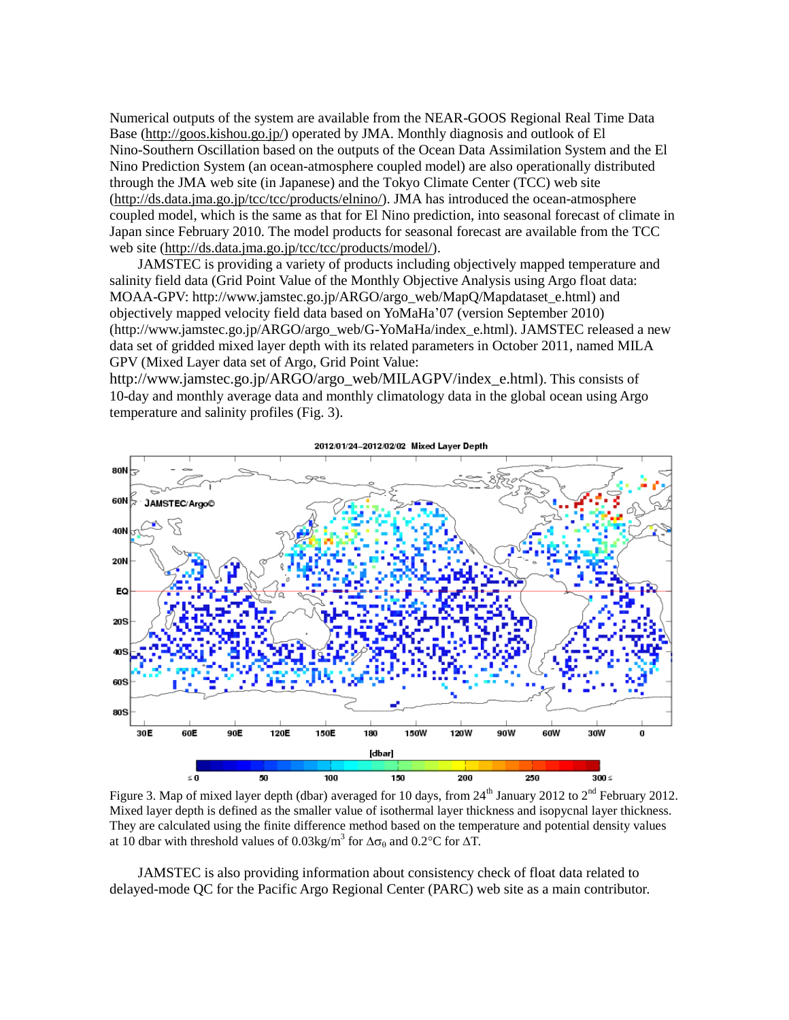Numerical outputs of the system are available from the NEAR-GOOS Regional Real Time Data Base [\(http://goos.kishou.go.jp/\)](http://goos.kishou.go.jp/) operated by JMA. Monthly diagnosis and outlook of El Nino-Southern Oscillation based on the outputs of the Ocean Data Assimilation System and the El Nino Prediction System (an ocean-atmosphere coupled model) are also operationally distributed through the JMA web site (in Japanese) and the Tokyo Climate Center (TCC) web site [\(http://ds.data.jma.go.jp/tcc/tcc/products/elnino/\)](http://ds.data.jma.go.jp/tcc/tcc/products/elnino/). JMA has introduced the ocean-atmosphere coupled model, which is the same as that for El Nino prediction, into seasonal forecast of climate in Japan since February 2010. The model products for seasonal forecast are available from the TCC web site [\(http://ds.data.jma.go.jp/tcc/tcc/products/model/\)](http://ds.data.jma.go.jp/tcc/tcc/products/model/).

JAMSTEC is providing a variety of products including objectively mapped temperature and salinity field data (Grid Point Value of the Monthly Objective Analysis using Argo float data: MOAA-GPV: http://www.jamstec.go.jp/ARGO/argo\_web/MapQ/Mapdataset\_e.html) and objectively mapped velocity field data based on YoMaHa'07 (version September 2010) (http://www.jamstec.go.jp/ARGO/argo\_web/G-YoMaHa/index\_e.html). JAMSTEC released a new data set of gridded mixed layer depth with its related parameters in October 2011, named MILA GPV (Mixed Layer data set of Argo, Grid Point Value:

http://www.jamstec.go.jp/ARGO/argo\_web/MILAGPV/index\_e.html). This consists of 10-day and monthly average data and monthly climatology data in the global ocean using Argo temperature and salinity profiles (Fig. 3).



Figure 3. Map of mixed layer depth (dbar) averaged for 10 days, from 24<sup>th</sup> January 2012 to 2<sup>nd</sup> February 2012. Mixed layer depth is defined as the smaller value of isothermal layer thickness and isopycnal layer thickness. They are calculated using the finite difference method based on the temperature and potential density values at 10 dbar with threshold values of 0.03kg/m<sup>3</sup> for  $\Delta\sigma_\theta$  and 0.2°C for  $\Delta T$ .

JAMSTEC is also providing information about consistency check of float data related to delayed-mode QC for the Pacific Argo Regional Center (PARC) web site as a main contributor.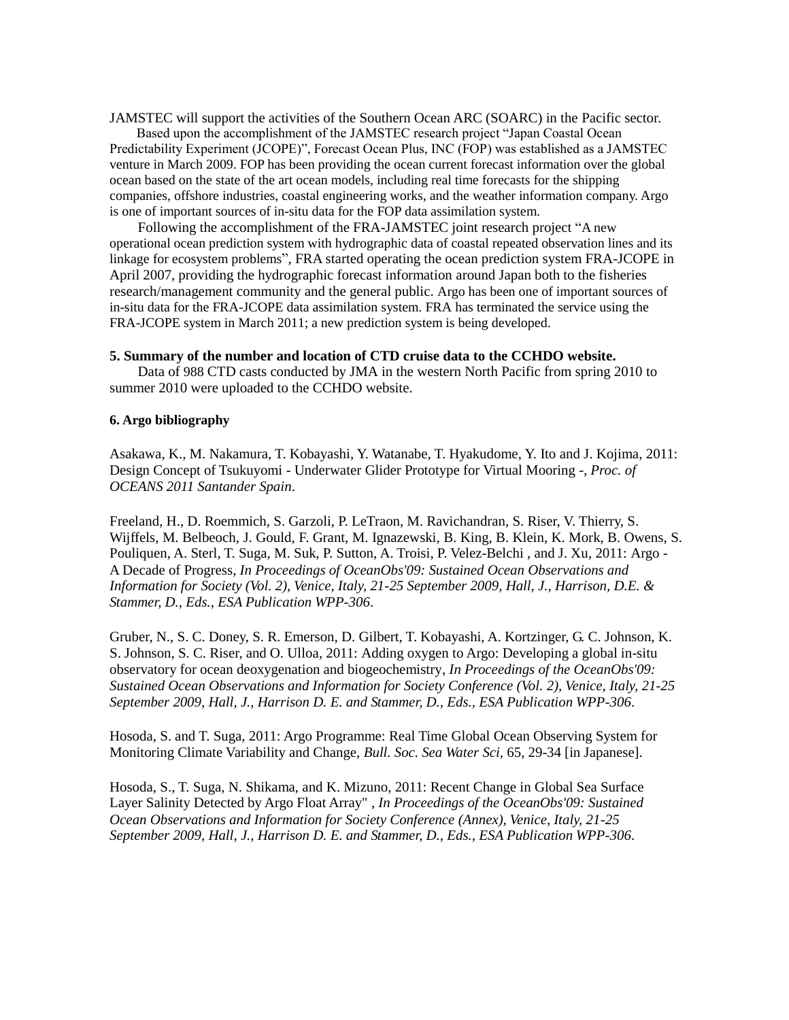JAMSTEC will support the activities of the Southern Ocean ARC (SOARC) in the Pacific sector.

Based upon the accomplishment of the JAMSTEC research project "Japan Coastal Ocean Predictability Experiment (JCOPE)", Forecast Ocean Plus, INC (FOP) was established as a JAMSTEC venture in March 2009. FOP has been providing the ocean current forecast information over the global ocean based on the state of the art ocean models, including real time forecasts for the shipping companies, offshore industries, coastal engineering works, and the weather information company. Argo is one of important sources of in-situ data for the FOP data assimilation system.

Following the accomplishment of the FRA-JAMSTEC joint research project "A new operational ocean prediction system with hydrographic data of coastal repeated observation lines and its linkage for ecosystem problems", FRA started operating the ocean prediction system FRA-JCOPE in April 2007, providing the hydrographic forecast information around Japan both to the fisheries research/management community and the general public. Argo has been one of important sources of in-situ data for the FRA-JCOPE data assimilation system. FRA has terminated the service using the FRA-JCOPE system in March 2011; a new prediction system is being developed.

#### **5. Summary of the number and location of CTD cruise data to the CCHDO website.**

Data of 988 CTD casts conducted by JMA in the western North Pacific from spring 2010 to summer 2010 were uploaded to the CCHDO website.

# **6. Argo bibliography**

Asakawa, K., M. Nakamura, T. Kobayashi, Y. Watanabe, T. Hyakudome, Y. Ito and J. Kojima, 2011: Design Concept of Tsukuyomi - Underwater Glider Prototype for Virtual Mooring -, *Proc. of OCEANS 2011 Santander Spain*.

Freeland, H., D. Roemmich, S. Garzoli, P. LeTraon, M. Ravichandran, S. Riser, V. Thierry, S. Wijffels, M. Belbeoch, J. Gould, F. Grant, M. Ignazewski, B. King, B. Klein, K. Mork, B. Owens, S. Pouliquen, A. Sterl, T. Suga, M. Suk, P. Sutton, A. Troisi, P. Velez-Belchi , and J. Xu, 2011: Argo - A Decade of Progress, *In Proceedings of OceanObs'09: Sustained Ocean Observations and Information for Society (Vol. 2), Venice, Italy, 21-25 September 2009, Hall, J., Harrison, D.E. & Stammer, D., Eds., ESA Publication WPP-306*.

Gruber, N., S. C. Doney, S. R. Emerson, D. Gilbert, T. Kobayashi, A. Kortzinger, G. C. Johnson, K. S. Johnson, S. C. Riser, and O. Ulloa, 2011: Adding oxygen to Argo: Developing a global in-situ observatory for ocean deoxygenation and biogeochemistry, *In Proceedings of the OceanObs'09: Sustained Ocean Observations and Information for Society Conference (Vol. 2), Venice, Italy, 21-25 September 2009, Hall, J., Harrison D. E. and Stammer, D., Eds., ESA Publication WPP-306*.

Hosoda, S. and T. Suga, 2011: Argo Programme: Real Time Global Ocean Observing System for Monitoring Climate Variability and Change, *Bull. Soc. Sea Water Sci,* 65, 29-34 [in Japanese].

Hosoda, S., T. Suga, N. Shikama, and K. Mizuno, 2011: Recent Change in Global Sea Surface Layer Salinity Detected by Argo Float Array" , *In Proceedings of the OceanObs'09: Sustained Ocean Observations and Information for Society Conference (Annex), Venice, Italy, 21-25 September 2009, Hall, J., Harrison D. E. and Stammer, D., Eds., ESA Publication WPP-306*.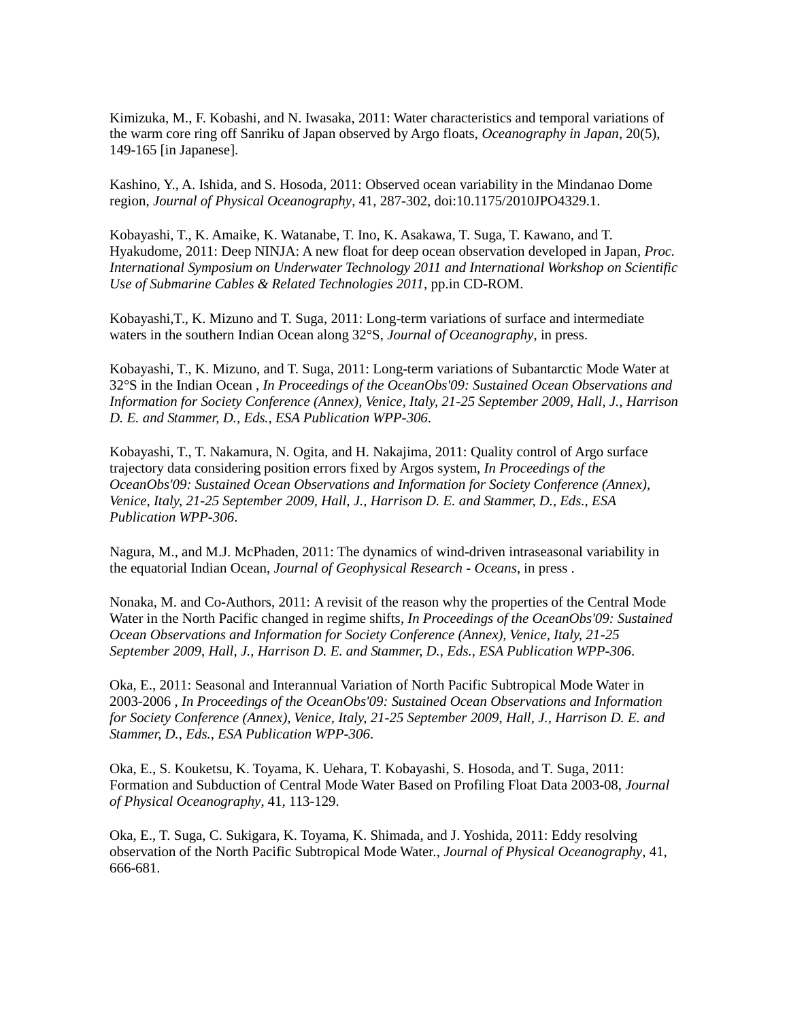Kimizuka, M., F. Kobashi, and N. Iwasaka, 2011: Water characteristics and temporal variations of the warm core ring off Sanriku of Japan observed by Argo floats, *Oceanography in Japan*, 20(5), 149-165 [in Japanese].

Kashino, Y., A. Ishida, and S. Hosoda, 2011: Observed ocean variability in the Mindanao Dome region, *Journal of Physical Oceanography*, 41, 287-302, doi:10.1175/2010JPO4329.1.

Kobayashi, T., K. Amaike, K. Watanabe, T. Ino, K. Asakawa, T. Suga, T. Kawano, and T. Hyakudome, 2011: Deep NINJA: A new float for deep ocean observation developed in Japan, *Proc. International Symposium on Underwater Technology 2011 and International Workshop on Scientific Use of Submarine Cables & Related Technologies 2011*, pp.in CD-ROM.

Kobayashi,T., K. Mizuno and T. Suga, 2011: Long-term variations of surface and intermediate waters in the southern Indian Ocean along 32°S, *Journal of Oceanography*, in press.

Kobayashi, T., K. Mizuno, and T. Suga, 2011: Long-term variations of Subantarctic Mode Water at 32°S in the Indian Ocean , *In Proceedings of the OceanObs'09: Sustained Ocean Observations and Information for Society Conference (Annex), Venice, Italy, 21-25 September 2009, Hall, J., Harrison D. E. and Stammer, D., Eds., ESA Publication WPP-306*.

Kobayashi, T., T. Nakamura, N. Ogita, and H. Nakajima, 2011: Quality control of Argo surface trajectory data considering position errors fixed by Argos system, *In Proceedings of the OceanObs'09: Sustained Ocean Observations and Information for Society Conference (Annex), Venice, Italy, 21-25 September 2009, Hall, J., Harrison D. E. and Stammer, D., Eds., ESA Publication WPP-306*.

Nagura, M., and M.J. McPhaden, 2011: The dynamics of wind-driven intraseasonal variability in the equatorial Indian Ocean, *Journal of Geophysical Research - Oceans*, in press .

Nonaka, M. and Co-Authors, 2011: A revisit of the reason why the properties of the Central Mode Water in the North Pacific changed in regime shifts, *In Proceedings of the OceanObs'09: Sustained Ocean Observations and Information for Society Conference (Annex), Venice, Italy, 21-25 September 2009, Hall, J., Harrison D. E. and Stammer, D., Eds., ESA Publication WPP-306*.

Oka, E., 2011: Seasonal and Interannual Variation of North Pacific Subtropical Mode Water in 2003-2006 , *In Proceedings of the OceanObs'09: Sustained Ocean Observations and Information for Society Conference (Annex), Venice, Italy, 21-25 September 2009, Hall, J., Harrison D. E. and Stammer, D., Eds., ESA Publication WPP-306*.

Oka, E., S. Kouketsu, K. Toyama, K. Uehara, T. Kobayashi, S. Hosoda, and T. Suga, 2011: Formation and Subduction of Central Mode Water Based on Profiling Float Data 2003-08, *Journal of Physical Oceanography*, 41, 113-129.

Oka, E., T. Suga, C. Sukigara, K. Toyama, K. Shimada, and J. Yoshida, 2011: Eddy resolving observation of the North Pacific Subtropical Mode Water., *Journal of Physical Oceanography*, 41, 666-681.